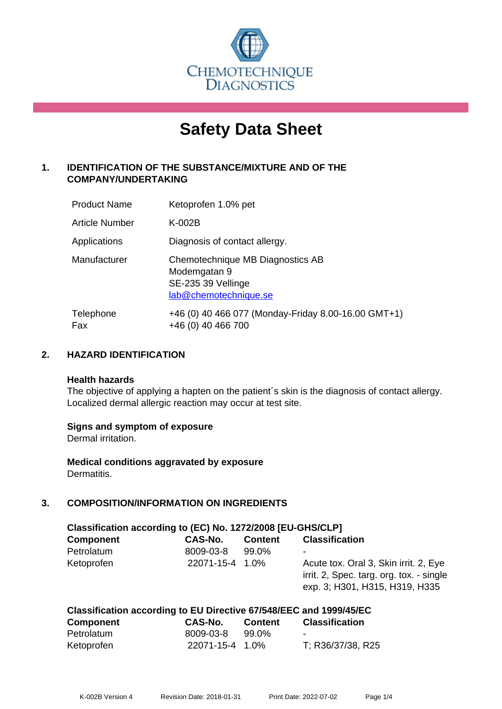

# **Safety Data Sheet**

# **1. IDENTIFICATION OF THE SUBSTANCE/MIXTURE AND OF THE COMPANY/UNDERTAKING**

| <b>Product Name</b> | Ketoprofen 1.0% pet                                                                             |
|---------------------|-------------------------------------------------------------------------------------------------|
| Article Number      | $K-002B$                                                                                        |
| Applications        | Diagnosis of contact allergy.                                                                   |
| Manufacturer        | Chemotechnique MB Diagnostics AB<br>Modemgatan 9<br>SE-235 39 Vellinge<br>lab@chemotechnique.se |
| Telephone<br>Fax    | +46 (0) 40 466 077 (Monday-Friday 8.00-16.00 GMT+1)<br>+46 (0) 40 466 700                       |

## **2. HAZARD IDENTIFICATION**

#### **Health hazards**

The objective of applying a hapten on the patient's skin is the diagnosis of contact allergy. Localized dermal allergic reaction may occur at test site.

## **Signs and symptom of exposure**

Dermal irritation.

**Medical conditions aggravated by exposure** Dermatitis.

# **3. COMPOSITION/INFORMATION ON INGREDIENTS**

| Classification according to (EC) No. 1272/2008 [EU-GHS/CLP] |                 |                |                                                                                                                     |  |  |
|-------------------------------------------------------------|-----------------|----------------|---------------------------------------------------------------------------------------------------------------------|--|--|
| <b>Component</b>                                            | CAS-No.         | <b>Content</b> | <b>Classification</b>                                                                                               |  |  |
| Petrolatum                                                  | 8009-03-8       | 99.0%          | ٠                                                                                                                   |  |  |
| Ketoprofen                                                  | 22071-15-4 1.0% |                | Acute tox. Oral 3, Skin irrit. 2, Eye<br>irrit. 2, Spec. targ. org. tox. - single<br>exp. 3; H301, H315, H319, H335 |  |  |

## **Classification according to EU Directive 67/548/EEC and 1999/45/EC**

| <b>Component</b> | <b>CAS-No.</b>  | <b>Content</b> | <b>Classification</b>    |
|------------------|-----------------|----------------|--------------------------|
| Petrolatum       | 8009-03-8       | 99.0%          | $\overline{\phantom{0}}$ |
| Ketoprofen       | 22071-15-4 1.0% |                | T; R36/37/38, R25        |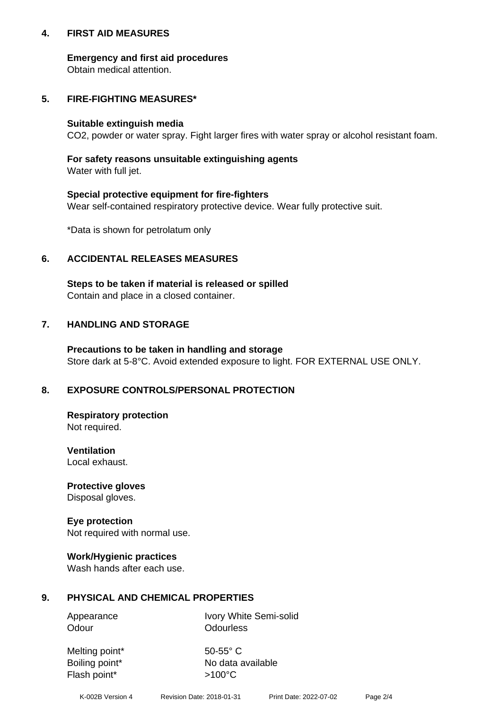## **4. FIRST AID MEASURES**

## **Emergency and first aid procedures**

Obtain medical attention.

# **5. FIRE-FIGHTING MEASURES\***

#### **Suitable extinguish media**

CO2, powder or water spray. Fight larger fires with water spray or alcohol resistant foam.

# **For safety reasons unsuitable extinguishing agents**

Water with full jet.

## **Special protective equipment for fire-fighters**

Wear self-contained respiratory protective device. Wear fully protective suit.

\*Data is shown for petrolatum only

## **6. ACCIDENTAL RELEASES MEASURES**

**Steps to be taken if material is released or spilled** Contain and place in a closed container.

# **7. HANDLING AND STORAGE**

**Precautions to be taken in handling and storage** Store dark at 5-8°C. Avoid extended exposure to light. FOR EXTERNAL USE ONLY.

# **8. EXPOSURE CONTROLS/PERSONAL PROTECTION**

**Respiratory protection** Not required.

**Ventilation** Local exhaust.

**Protective gloves** Disposal gloves.

#### **Eye protection** Not required with normal use.

## **Work/Hygienic practices**

Wash hands after each use.

## **9. PHYSICAL AND CHEMICAL PROPERTIES**

Odour **Odourless** 

Appearance Ivory White Semi-solid

Melting point\* 50-55° C Flash point\*  $>100^{\circ}$ C

Boiling point\* No data available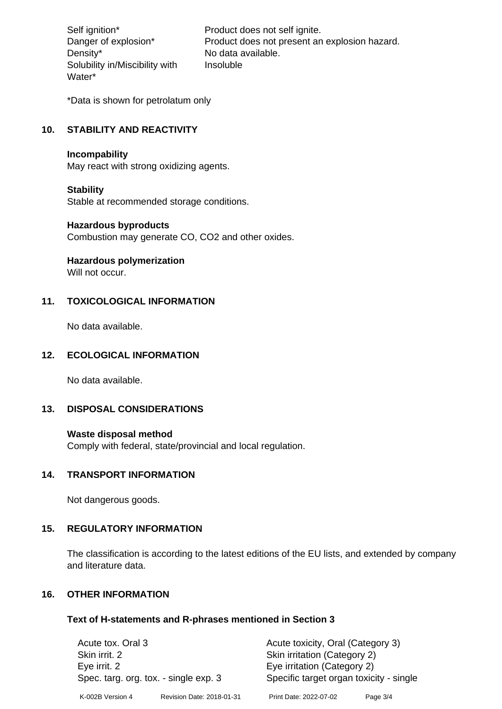Density\* No data available. Solubility in/Miscibility with Water\*

Self ignition\* Product does not self ignite. Danger of explosion\* Product does not present an explosion hazard. Insoluble

\*Data is shown for petrolatum only

# **10. STABILITY AND REACTIVITY**

#### **Incompability**

May react with strong oxidizing agents.

#### **Stability**

Stable at recommended storage conditions.

#### **Hazardous byproducts**

Combustion may generate CO, CO2 and other oxides.

**Hazardous polymerization**

Will not occur.

## **11. TOXICOLOGICAL INFORMATION**

No data available.

#### **12. ECOLOGICAL INFORMATION**

No data available.

## **13. DISPOSAL CONSIDERATIONS**

#### **Waste disposal method**

Comply with federal, state/provincial and local regulation.

#### **14. TRANSPORT INFORMATION**

Not dangerous goods.

## **15. REGULATORY INFORMATION**

The classification is according to the latest editions of the EU lists, and extended by company and literature data.

## **16. OTHER INFORMATION**

#### **Text of H-statements and R-phrases mentioned in Section 3**

| Acute tox. Oral 3                     |                           | Acute toxicity, Oral (Category 3)       |            |  |
|---------------------------------------|---------------------------|-----------------------------------------|------------|--|
| Skin irrit. 2                         |                           | Skin irritation (Category 2)            |            |  |
| Eye irrit. 2                          |                           | Eye irritation (Category 2)             |            |  |
| Spec. targ. org. tox. - single exp. 3 |                           | Specific target organ toxicity - single |            |  |
| K-002B Version 4                      | Revision Date: 2018-01-31 | Print Date: 2022-07-02                  | Page $3/4$ |  |